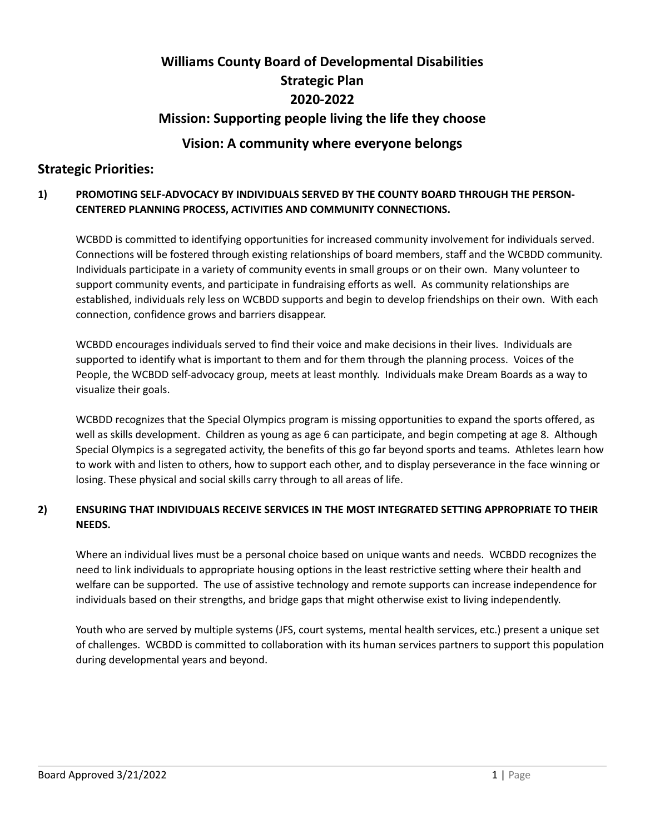# **Williams County Board of Developmental Disabilities Strategic Plan 2020-2022**

# **Mission: Supporting people living the life they choose**

# **Vision: A community where everyone belongs**

# **Strategic Priorities:**

## **1) PROMOTING SELF-ADVOCACY BY INDIVIDUALS SERVED BY THE COUNTY BOARD THROUGH THE PERSON-CENTERED PLANNING PROCESS, ACTIVITIES AND COMMUNITY CONNECTIONS.**

WCBDD is committed to identifying opportunities for increased community involvement for individuals served. Connections will be fostered through existing relationships of board members, staff and the WCBDD community. Individuals participate in a variety of community events in small groups or on their own. Many volunteer to support community events, and participate in fundraising efforts as well. As community relationships are established, individuals rely less on WCBDD supports and begin to develop friendships on their own. With each connection, confidence grows and barriers disappear.

WCBDD encourages individuals served to find their voice and make decisions in their lives. Individuals are supported to identify what is important to them and for them through the planning process. Voices of the People, the WCBDD self-advocacy group, meets at least monthly. Individuals make Dream Boards as a way to visualize their goals.

WCBDD recognizes that the Special Olympics program is missing opportunities to expand the sports offered, as well as skills development. Children as young as age 6 can participate, and begin competing at age 8. Although Special Olympics is a segregated activity, the benefits of this go far beyond sports and teams. Athletes learn how to work with and listen to others, how to support each other, and to display perseverance in the face winning or losing. These physical and social skills carry through to all areas of life.

## **2) ENSURING THAT INDIVIDUALS RECEIVE SERVICES IN THE MOST INTEGRATED SETTING APPROPRIATE TO THEIR NEEDS.**

Where an individual lives must be a personal choice based on unique wants and needs. WCBDD recognizes the need to link individuals to appropriate housing options in the least restrictive setting where their health and welfare can be supported. The use of assistive technology and remote supports can increase independence for individuals based on their strengths, and bridge gaps that might otherwise exist to living independently.

Youth who are served by multiple systems (JFS, court systems, mental health services, etc.) present a unique set of challenges. WCBDD is committed to collaboration with its human services partners to support this population during developmental years and beyond.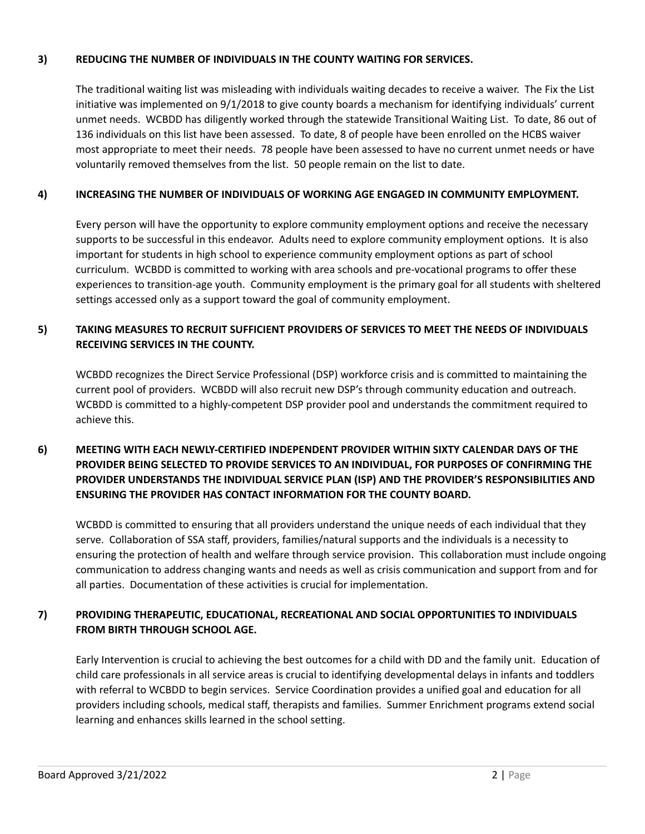#### **3) REDUCING THE NUMBER OF INDIVIDUALS IN THE COUNTY WAITING FOR SERVICES.**

The traditional waiting list was misleading with individuals waiting decades to receive a waiver. The Fix the List initiative was implemented on 9/1/2018 to give county boards a mechanism for identifying individuals' current unmet needs. WCBDD has diligently worked through the statewide Transitional Waiting List. To date, 86 out of 136 individuals on this list have been assessed. To date, 8 of people have been enrolled on the HCBS waiver most appropriate to meet their needs. 78 people have been assessed to have no current unmet needs or have voluntarily removed themselves from the list. 50 people remain on the list to date.

#### **4) INCREASING THE NUMBER OF INDIVIDUALS OF WORKING AGE ENGAGED IN COMMUNITY EMPLOYMENT.**

Every person will have the opportunity to explore community employment options and receive the necessary supports to be successful in this endeavor. Adults need to explore community employment options. It is also important for students in high school to experience community employment options as part of school curriculum. WCBDD is committed to working with area schools and pre-vocational programs to offer these experiences to transition-age youth. Community employment is the primary goal for all students with sheltered settings accessed only as a support toward the goal of community employment.

### **5) TAKING MEASURES TO RECRUIT SUFFICIENT PROVIDERS OF SERVICES TO MEET THE NEEDS OF INDIVIDUALS RECEIVING SERVICES IN THE COUNTY.**

WCBDD recognizes the Direct Service Professional (DSP) workforce crisis and is committed to maintaining the current pool of providers. WCBDD will also recruit new DSP's through community education and outreach. WCBDD is committed to a highly-competent DSP provider pool and understands the commitment required to achieve this.

## **6) MEETING WITH EACH NEWLY-CERTIFIED INDEPENDENT PROVIDER WITHIN SIXTY CALENDAR DAYS OF THE PROVIDER BEING SELECTED TO PROVIDE SERVICES TO AN INDIVIDUAL, FOR PURPOSES OF CONFIRMING THE PROVIDER UNDERSTANDS THE INDIVIDUAL SERVICE PLAN (ISP) AND THE PROVIDER'S RESPONSIBILITIES AND ENSURING THE PROVIDER HAS CONTACT INFORMATION FOR THE COUNTY BOARD.**

WCBDD is committed to ensuring that all providers understand the unique needs of each individual that they serve. Collaboration of SSA staff, providers, families/natural supports and the individuals is a necessity to ensuring the protection of health and welfare through service provision. This collaboration must include ongoing communication to address changing wants and needs as well as crisis communication and support from and for all parties. Documentation of these activities is crucial for implementation.

## **7) PROVIDING THERAPEUTIC, EDUCATIONAL, RECREATIONAL AND SOCIAL OPPORTUNITIES TO INDIVIDUALS FROM BIRTH THROUGH SCHOOL AGE.**

Early Intervention is crucial to achieving the best outcomes for a child with DD and the family unit. Education of child care professionals in all service areas is crucial to identifying developmental delays in infants and toddlers with referral to WCBDD to begin services. Service Coordination provides a unified goal and education for all providers including schools, medical staff, therapists and families. Summer Enrichment programs extend social learning and enhances skills learned in the school setting.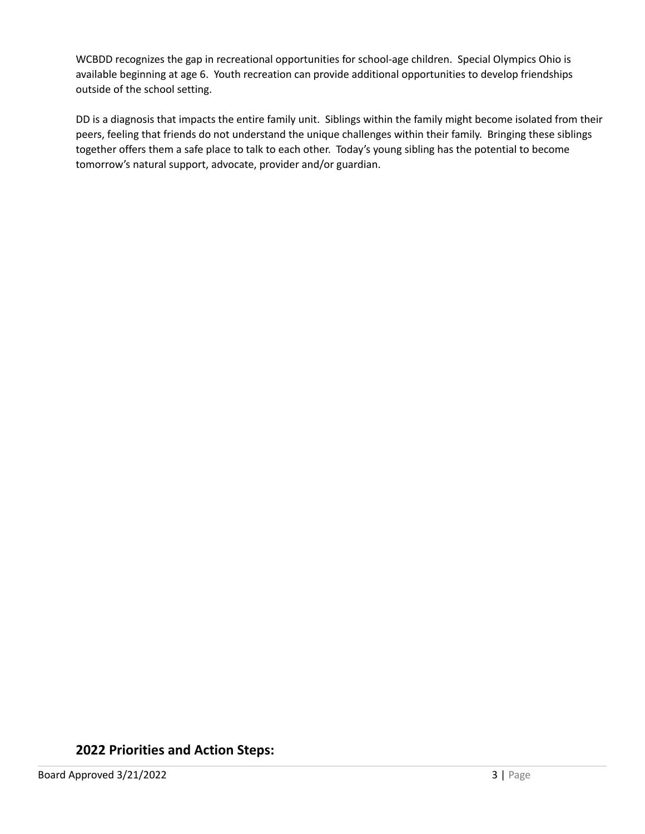WCBDD recognizes the gap in recreational opportunities for school-age children. Special Olympics Ohio is available beginning at age 6. Youth recreation can provide additional opportunities to develop friendships outside of the school setting.

DD is a diagnosis that impacts the entire family unit. Siblings within the family might become isolated from their peers, feeling that friends do not understand the unique challenges within their family. Bringing these siblings together offers them a safe place to talk to each other. Today's young sibling has the potential to become tomorrow's natural support, advocate, provider and/or guardian.

# **2022 Priorities and Action Steps:**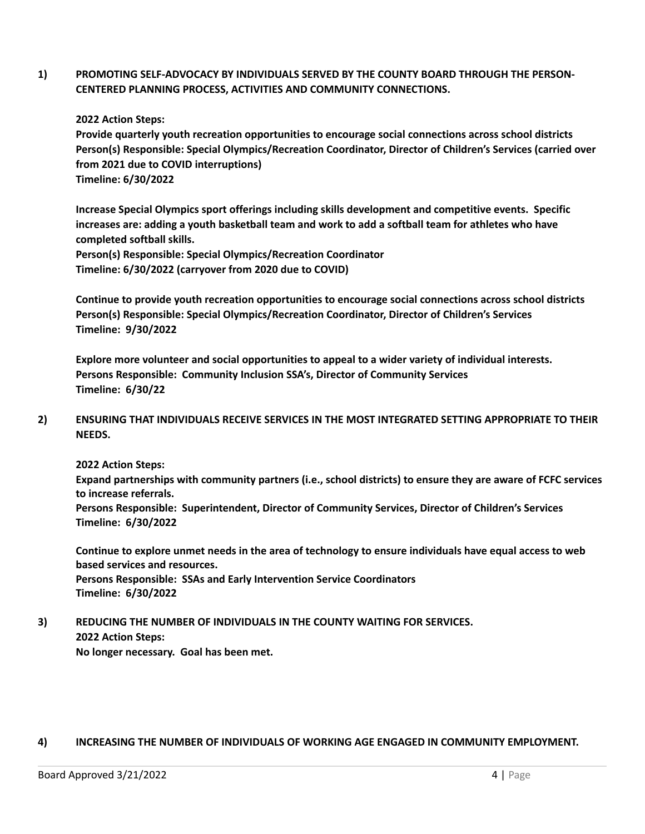**1) PROMOTING SELF-ADVOCACY BY INDIVIDUALS SERVED BY THE COUNTY BOARD THROUGH THE PERSON-CENTERED PLANNING PROCESS, ACTIVITIES AND COMMUNITY CONNECTIONS.**

**2022 Action Steps:**

**Provide quarterly youth recreation opportunities to encourage social connections across school districts Person(s) Responsible: Special Olympics/Recreation Coordinator, Director of Children's Services (carried over from 2021 due to COVID interruptions) Timeline: 6/30/2022**

**Increase Special Olympics sport offerings including skills development and competitive events. Specific** increases are: adding a youth basketball team and work to add a softball team for athletes who have **completed softball skills.**

**Person(s) Responsible: Special Olympics/Recreation Coordinator Timeline: 6/30/2022 (carryover from 2020 due to COVID)**

**Continue to provide youth recreation opportunities to encourage social connections across school districts Person(s) Responsible: Special Olympics/Recreation Coordinator, Director of Children's Services Timeline: 9/30/2022**

**Explore more volunteer and social opportunities to appeal to a wider variety of individual interests. Persons Responsible: Community Inclusion SSA's, Director of Community Services Timeline: 6/30/22**

**2) ENSURING THAT INDIVIDUALS RECEIVE SERVICES IN THE MOST INTEGRATED SETTING APPROPRIATE TO THEIR NEEDS.**

**2022 Action Steps:**

**Expand partnerships with community partners (i.e., school districts) to ensure they are aware of FCFC services to increase referrals.**

**Persons Responsible: Superintendent, Director of Community Services, Director of Children's Services Timeline: 6/30/2022**

Continue to explore unmet needs in the area of technology to ensure individuals have equal access to web **based services and resources.**

**Persons Responsible: SSAs and Early Intervention Service Coordinators Timeline: 6/30/2022**

**3) REDUCING THE NUMBER OF INDIVIDUALS IN THE COUNTY WAITING FOR SERVICES. 2022 Action Steps:**

**No longer necessary. Goal has been met.**

#### **4) INCREASING THE NUMBER OF INDIVIDUALS OF WORKING AGE ENGAGED IN COMMUNITY EMPLOYMENT.**